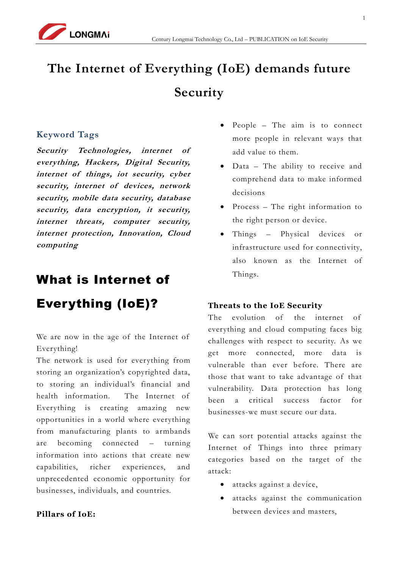

# **The Internet of Everything (IoE) demands future Security**

#### **Keyword Tags**

**[Security](http://newsroom.cisco.com/all-news?type=All&categoryNames=Security) [Technologies,](http://newsroom.cisco.com/all-news?type=All&categoryNames=Technologies) internet of everything, Hackers, Digital Security, internet of things, iot security, cyber security, internet of devices, network security, mobile data security, database security, data encryption, it security, internet threats, computer security, internet protection, Innovation, Cloud computing** 

# What is Internet of

# Everything (IoE)?

We are now in the age of the Internet of Everything!

The network is used for everything from storing an organization's copyrighted data, to storing an individual's financial and health information. The Internet of Everything is creating amazing new opportunities in a world where everything from manufacturing plants to armbands are becoming connected – turning information into actions that create new capabilities, richer experiences, and unprecedented economic opportunity for businesses, individuals, and countries.

#### **Pillars of IoE:**

- People The aim is to connect more people in relevant ways that add value to them.
- Data The ability to receive and comprehend data to make informed decisions
- Process The right information to the right person or device.
- Things Physical devices or infrastructure used for connectivity, also known as the Internet of Things.

#### **Threats to the IoE Security**

The evolution of the internet of everything and cloud computing faces big challenges with respect to security. As we get more connected, more data is vulnerable than ever before. There are those that want to take advantage of that vulnerability. Data protection has long been a critical success factor for businesses-we must secure our data.

We can sort potential attacks against the Internet of Things into three primary categories based on the target of the attack:

- attacks against a device,
- attacks against the communication between devices and masters,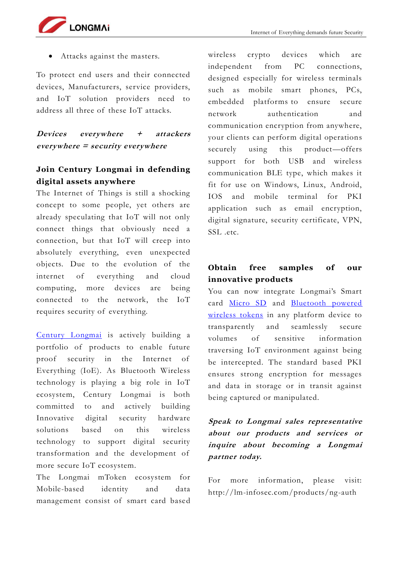

Attacks against the masters.

To protect end users and their connected devices, Manufacturers, service providers, and IoT solution providers need to address all three of these IoT attacks.

**Devices everywhere + attackers everywhere = security everywhere**

#### **Join Century Longmai in defending digital assets anywhere**

The Internet of Things is still a shocking concept to some people, yet others are already speculating that IoT will not only connect things that obviously need a connection, but that IoT will creep into absolutely everything, even unexpected objects. Due to the evolution of the internet of everything and cloud computing, more devices are being connected to the network, the IoT requires security of everything.

[Century Longmai](http://lm-infosec.com/about-us/who-we-are/) is actively building a portfolio of products to enable future proof security in the Internet of Everything (IoE). As Bluetooth Wireless technology is playing a big role in IoT ecosystem, Century Longmai is both committed to and actively building Innovative digital security hardware solutions based on this wireless technology to support digital security transformation and the development of more secure IoT ecosystem.

The Longmai mToken ecosystem for Mobile-based identity and data management consist of smart card based

wireless crypto devices which are independent from PC connections, designed especially for wireless terminals such as mobile smart phones, PCs, embedded platforms to ensure secure network authentication and communication encryption from anywhere, your clients can perform digital operations securely using this product—offers support for both USB and wireless communication BLE type, which makes it fit for use on Windows, Linux, Android, IOS and mobile terminal for PKI application such as email encryption, digital signature, security certificate, VPN, SSL .etc.

### **Obtain free samples of our innovative products**

You can now integrate Longmai's Smart card [Micro SD](http://lm-infosec.com/products/smart-card-microsd/) and Bluetooth powered [wireless tokens](http://lm-infosec.com/products/ng-auth/) in any platform device to transparently and seamlessly secure volumes of sensitive information traversing IoT environment against being be intercepted. The standard based PKI ensures strong encryption for messages and data in storage or in transit against being captured or manipulated.

### **Speak to Longmai sales representative about our products and services or inquire about becoming a Longmai partner today.**

For more information, please visit: http://lm-infosec.com/products/ng-auth